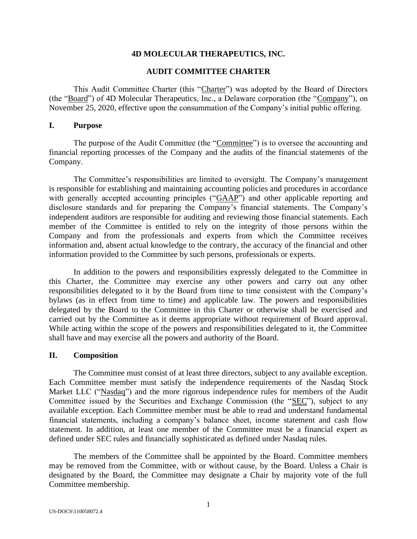### **4D MOLECULAR THERAPEUTICS, INC.**

### **AUDIT COMMITTEE CHARTER**

This Audit Committee Charter (this "Charter") was adopted by the Board of Directors (the "Board") of 4D Molecular Therapeutics, Inc., a Delaware corporation (the "Company"), on November 25, 2020, effective upon the consummation of the Company's initial public offering.

### **I. Purpose**

The purpose of the Audit Committee (the "Committee") is to oversee the accounting and financial reporting processes of the Company and the audits of the financial statements of the Company.

The Committee's responsibilities are limited to oversight. The Company's management is responsible for establishing and maintaining accounting policies and procedures in accordance with generally accepted accounting principles ("GAAP") and other applicable reporting and disclosure standards and for preparing the Company's financial statements. The Company's independent auditors are responsible for auditing and reviewing those financial statements. Each member of the Committee is entitled to rely on the integrity of those persons within the Company and from the professionals and experts from which the Committee receives information and, absent actual knowledge to the contrary, the accuracy of the financial and other information provided to the Committee by such persons, professionals or experts.

In addition to the powers and responsibilities expressly delegated to the Committee in this Charter, the Committee may exercise any other powers and carry out any other responsibilities delegated to it by the Board from time to time consistent with the Company's bylaws (as in effect from time to time) and applicable law. The powers and responsibilities delegated by the Board to the Committee in this Charter or otherwise shall be exercised and carried out by the Committee as it deems appropriate without requirement of Board approval. While acting within the scope of the powers and responsibilities delegated to it, the Committee shall have and may exercise all the powers and authority of the Board.

#### **II. Composition**

The Committee must consist of at least three directors, subject to any available exception. Each Committee member must satisfy the independence requirements of the Nasdaq Stock Market LLC ("Nasdaq") and the more rigorous independence rules for members of the Audit Committee issued by the Securities and Exchange Commission (the "SEC"), subject to any available exception. Each Committee member must be able to read and understand fundamental financial statements, including a company's balance sheet, income statement and cash flow statement. In addition, at least one member of the Committee must be a financial expert as defined under SEC rules and financially sophisticated as defined under Nasdaq rules.

The members of the Committee shall be appointed by the Board. Committee members may be removed from the Committee, with or without cause, by the Board. Unless a Chair is designated by the Board, the Committee may designate a Chair by majority vote of the full Committee membership.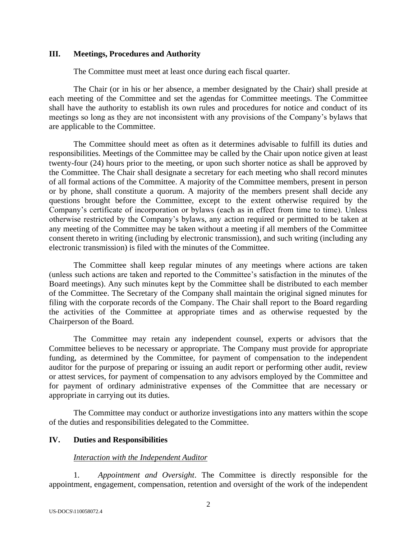### **III. Meetings, Procedures and Authority**

The Committee must meet at least once during each fiscal quarter.

The Chair (or in his or her absence, a member designated by the Chair) shall preside at each meeting of the Committee and set the agendas for Committee meetings. The Committee shall have the authority to establish its own rules and procedures for notice and conduct of its meetings so long as they are not inconsistent with any provisions of the Company's bylaws that are applicable to the Committee.

The Committee should meet as often as it determines advisable to fulfill its duties and responsibilities. Meetings of the Committee may be called by the Chair upon notice given at least twenty-four (24) hours prior to the meeting, or upon such shorter notice as shall be approved by the Committee. The Chair shall designate a secretary for each meeting who shall record minutes of all formal actions of the Committee. A majority of the Committee members, present in person or by phone, shall constitute a quorum. A majority of the members present shall decide any questions brought before the Committee, except to the extent otherwise required by the Company's certificate of incorporation or bylaws (each as in effect from time to time). Unless otherwise restricted by the Company's bylaws, any action required or permitted to be taken at any meeting of the Committee may be taken without a meeting if all members of the Committee consent thereto in writing (including by electronic transmission), and such writing (including any electronic transmission) is filed with the minutes of the Committee.

The Committee shall keep regular minutes of any meetings where actions are taken (unless such actions are taken and reported to the Committee's satisfaction in the minutes of the Board meetings). Any such minutes kept by the Committee shall be distributed to each member of the Committee. The Secretary of the Company shall maintain the original signed minutes for filing with the corporate records of the Company. The Chair shall report to the Board regarding the activities of the Committee at appropriate times and as otherwise requested by the Chairperson of the Board.

The Committee may retain any independent counsel, experts or advisors that the Committee believes to be necessary or appropriate. The Company must provide for appropriate funding, as determined by the Committee, for payment of compensation to the independent auditor for the purpose of preparing or issuing an audit report or performing other audit, review or attest services, for payment of compensation to any advisors employed by the Committee and for payment of ordinary administrative expenses of the Committee that are necessary or appropriate in carrying out its duties.

The Committee may conduct or authorize investigations into any matters within the scope of the duties and responsibilities delegated to the Committee.

## **IV. Duties and Responsibilities**

## *Interaction with the Independent Auditor*

1. *Appointment and Oversight*. The Committee is directly responsible for the appointment, engagement, compensation, retention and oversight of the work of the independent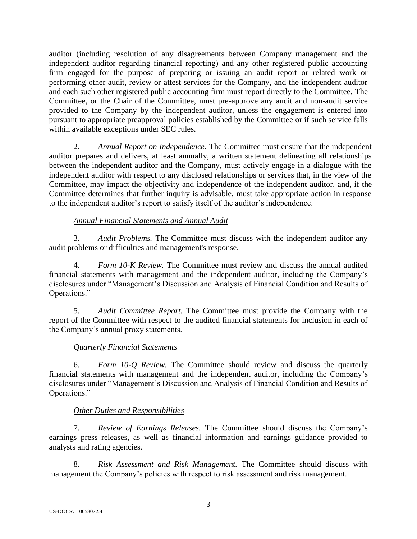auditor (including resolution of any disagreements between Company management and the independent auditor regarding financial reporting) and any other registered public accounting firm engaged for the purpose of preparing or issuing an audit report or related work or performing other audit, review or attest services for the Company, and the independent auditor and each such other registered public accounting firm must report directly to the Committee. The Committee, or the Chair of the Committee, must pre-approve any audit and non-audit service provided to the Company by the independent auditor, unless the engagement is entered into pursuant to appropriate preapproval policies established by the Committee or if such service falls within available exceptions under SEC rules.

2. *Annual Report on Independence.* The Committee must ensure that the independent auditor prepares and delivers, at least annually, a written statement delineating all relationships between the independent auditor and the Company, must actively engage in a dialogue with the independent auditor with respect to any disclosed relationships or services that, in the view of the Committee, may impact the objectivity and independence of the independent auditor, and, if the Committee determines that further inquiry is advisable, must take appropriate action in response to the independent auditor's report to satisfy itself of the auditor's independence.

# *Annual Financial Statements and Annual Audit*

3. *Audit Problems.* The Committee must discuss with the independent auditor any audit problems or difficulties and management's response.

4. *Form 10-K Review.* The Committee must review and discuss the annual audited financial statements with management and the independent auditor, including the Company's disclosures under "Management's Discussion and Analysis of Financial Condition and Results of Operations."

5. *Audit Committee Report.* The Committee must provide the Company with the report of the Committee with respect to the audited financial statements for inclusion in each of the Company's annual proxy statements.

# *Quarterly Financial Statements*

6. *Form 10-Q Review.* The Committee should review and discuss the quarterly financial statements with management and the independent auditor, including the Company's disclosures under "Management's Discussion and Analysis of Financial Condition and Results of Operations."

# *Other Duties and Responsibilities*

7. *Review of Earnings Releases.* The Committee should discuss the Company's earnings press releases, as well as financial information and earnings guidance provided to analysts and rating agencies.

8. *Risk Assessment and Risk Management.* The Committee should discuss with management the Company's policies with respect to risk assessment and risk management.